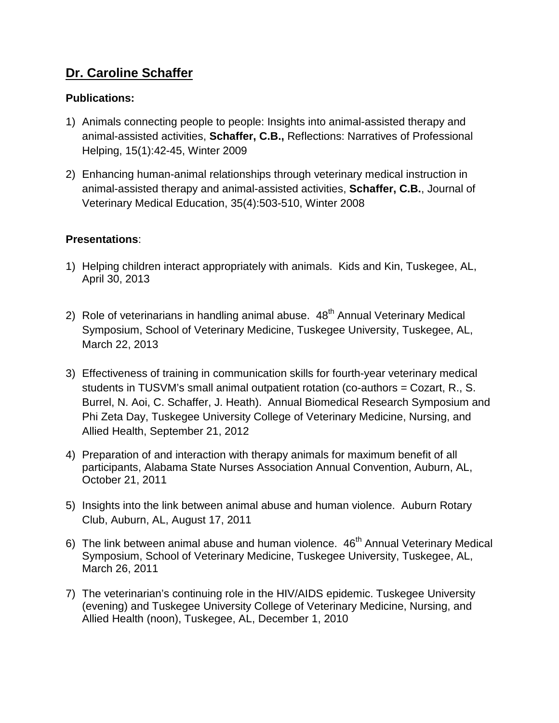## **Dr. Caroline Schaffer**

## **Publications:**

- 1) Animals connecting people to people: Insights into animal-assisted therapy and animal-assisted activities, **Schaffer, C.B.,** Reflections: Narratives of Professional Helping, 15(1):42-45, Winter 2009
- 2) Enhancing human-animal relationships through veterinary medical instruction in animal-assisted therapy and animal-assisted activities, **Schaffer, C.B.**, Journal of Veterinary Medical Education, 35(4):503-510, Winter 2008

## **Presentations**:

- 1) Helping children interact appropriately with animals. Kids and Kin, Tuskegee, AL, April 30, 2013
- 2) Role of veterinarians in handling animal abuse. 48<sup>th</sup> Annual Veterinary Medical Symposium, School of Veterinary Medicine, Tuskegee University, Tuskegee, AL, March 22, 2013
- 3) Effectiveness of training in communication skills for fourth-year veterinary medical students in TUSVM's small animal outpatient rotation (co-authors = Cozart, R., S. Burrel, N. Aoi, C. Schaffer, J. Heath). Annual Biomedical Research Symposium and Phi Zeta Day, Tuskegee University College of Veterinary Medicine, Nursing, and Allied Health, September 21, 2012
- 4) Preparation of and interaction with therapy animals for maximum benefit of all participants, Alabama State Nurses Association Annual Convention, Auburn, AL, October 21, 2011
- 5) Insights into the link between animal abuse and human violence. Auburn Rotary Club, Auburn, AL, August 17, 2011
- 6) The link between animal abuse and human violence.  $46<sup>th</sup>$  Annual Veterinary Medical Symposium, School of Veterinary Medicine, Tuskegee University, Tuskegee, AL, March 26, 2011
- 7) The veterinarian's continuing role in the HIV/AIDS epidemic. Tuskegee University (evening) and Tuskegee University College of Veterinary Medicine, Nursing, and Allied Health (noon), Tuskegee, AL, December 1, 2010